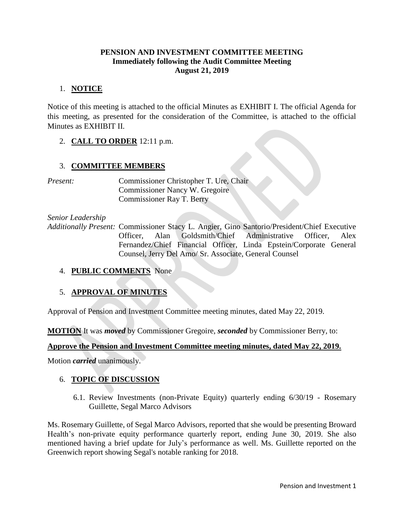### **PENSION AND INVESTMENT COMMITTEE MEETING Immediately following the Audit Committee Meeting August 21, 2019**

## 1. **NOTICE**

Notice of this meeting is attached to the official Minutes as EXHIBIT I. The official Agenda for this meeting, as presented for the consideration of the Committee, is attached to the official Minutes as EXHIBIT II.

2. **CALL TO ORDER** 12:11 p.m.

## 3. **COMMITTEE MEMBERS**

*Present:* Commissioner Christopher T. Ure, Chair Commissioner Nancy W. Gregoire Commissioner Ray T. Berry

*Senior Leadership*

*Additionally Present:* Commissioner Stacy L. Angier, Gino Santorio/President/Chief Executive Officer, Alan Goldsmith/Chief Administrative Officer, Alex Fernandez/Chief Financial Officer, Linda Epstein/Corporate General Counsel, Jerry Del Amo/ Sr. Associate, General Counsel

## 4. **PUBLIC COMMENTS** None

## 5. **APPROVAL OF MINUTES**

Approval of Pension and Investment Committee meeting minutes, dated May 22, 2019.

**MOTION** It was *moved* by Commissioner Gregoire, *seconded* by Commissioner Berry, to:

## **Approve the Pension and Investment Committee meeting minutes, dated May 22, 2019.**

Motion *carried* unanimously.

## 6. **TOPIC OF DISCUSSION**

6.1. Review Investments (non-Private Equity) quarterly ending 6/30/19 - Rosemary Guillette, Segal Marco Advisors

Ms. Rosemary Guillette, of Segal Marco Advisors, reported that she would be presenting Broward Health's non-private equity performance quarterly report, ending June 30, 2019. She also mentioned having a brief update for July's performance as well. Ms. Guillette reported on the Greenwich report showing Segal's notable ranking for 2018.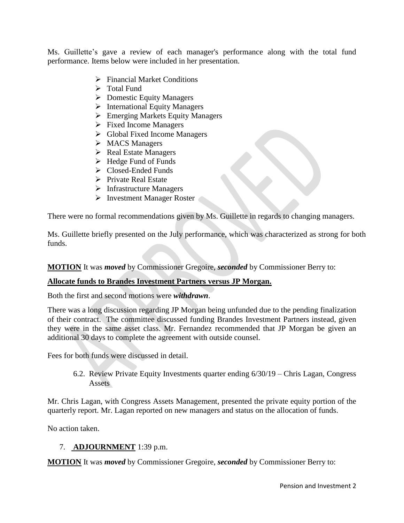Ms. Guillette's gave a review of each manager's performance along with the total fund performance. Items below were included in her presentation.

- Financial Market Conditions
- $\triangleright$  Total Fund
- $\triangleright$  Domestic Equity Managers
- $\triangleright$  International Equity Managers
- Emerging Markets Equity Managers
- $\triangleright$  Fixed Income Managers
- Global Fixed Income Managers
- > MACS Managers
- $\triangleright$  Real Estate Managers
- $\blacktriangleright$  Hedge Fund of Funds
- Closed-Ended Funds
- $\triangleright$  Private Real Estate
- $\triangleright$  Infrastructure Managers
- > Investment Manager Roster

There were no formal recommendations given by Ms. Guillette in regards to changing managers.

Ms. Guillette briefly presented on the July performance, which was characterized as strong for both funds.

**MOTION** It was *moved* by Commissioner Gregoire, *seconded* by Commissioner Berry to:

### **Allocate funds to Brandes Investment Partners versus JP Morgan.**

Both the first and second motions were *withdrawn*.

There was a long discussion regarding JP Morgan being unfunded due to the pending finalization of their contract. The committee discussed funding Brandes Investment Partners instead, given they were in the same asset class. Mr. Fernandez recommended that JP Morgan be given an additional 30 days to complete the agreement with outside counsel.

Fees for both funds were discussed in detail.

6.2. Review Private Equity Investments quarter ending 6/30/19 – Chris Lagan, Congress Assets

Mr. Chris Lagan, with Congress Assets Management, presented the private equity portion of the quarterly report. Mr. Lagan reported on new managers and status on the allocation of funds.

No action taken.

### 7. **ADJOURNMENT** 1:39 p.m.

**MOTION** It was *moved* by Commissioner Gregoire, *seconded* by Commissioner Berry to: